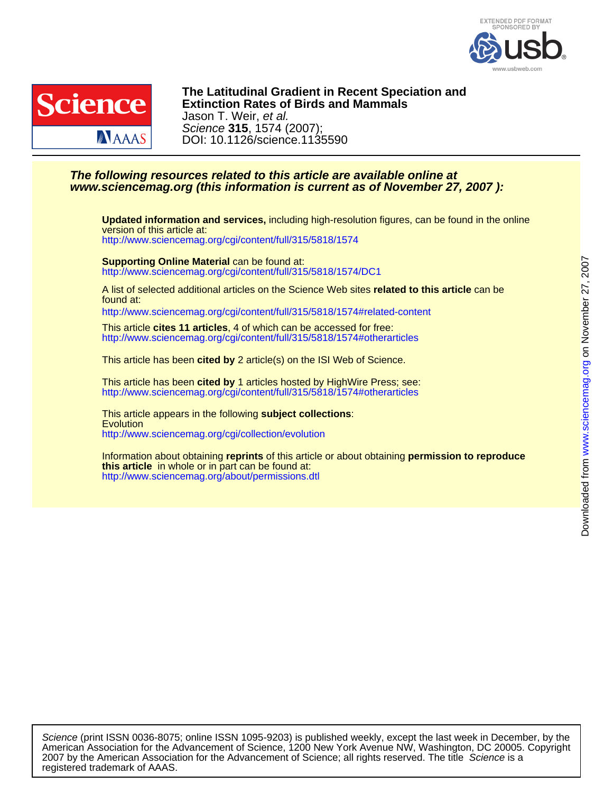



DOI: 10.1126/science.1135590 Science **315**, 1574 (2007); Jason T. Weir, et al. **Extinction Rates of Birds and Mammals The Latitudinal Gradient in Recent Speciation and**

## **www.sciencemag.org (this information is current as of November 27, 2007 ): The following resources related to this article are available online at**

<http://www.sciencemag.org/cgi/content/full/315/5818/1574> version of this article at: **Updated information and services,** including high-resolution figures, can be found in the online

<http://www.sciencemag.org/cgi/content/full/315/5818/1574/DC1> **Supporting Online Material** can be found at:

found at: A list of selected additional articles on the Science Web sites **related to this article** can be

<http://www.sciencemag.org/cgi/content/full/315/5818/1574#related-content>

<http://www.sciencemag.org/cgi/content/full/315/5818/1574#otherarticles> This article **cites 11 articles**, 4 of which can be accessed for free:

This article has been **cited by** 2 article(s) on the ISI Web of Science.

<http://www.sciencemag.org/cgi/content/full/315/5818/1574#otherarticles> This article has been **cited by** 1 articles hosted by HighWire Press; see:

<http://www.sciencemag.org/cgi/collection/evolution> **Evolution** This article appears in the following **subject collections**:

<http://www.sciencemag.org/about/permissions.dtl> **this article** in whole or in part can be found at: Information about obtaining **reprints** of this article or about obtaining **permission to reproduce**

registered trademark of AAAS. 2007 by the American Association for the Advancement of Science; all rights reserved. The title Science is a American Association for the Advancement of Science, 1200 New York Avenue NW, Washington, DC 20005. Copyright Science (print ISSN 0036-8075; online ISSN 1095-9203) is published weekly, except the last week in December, by the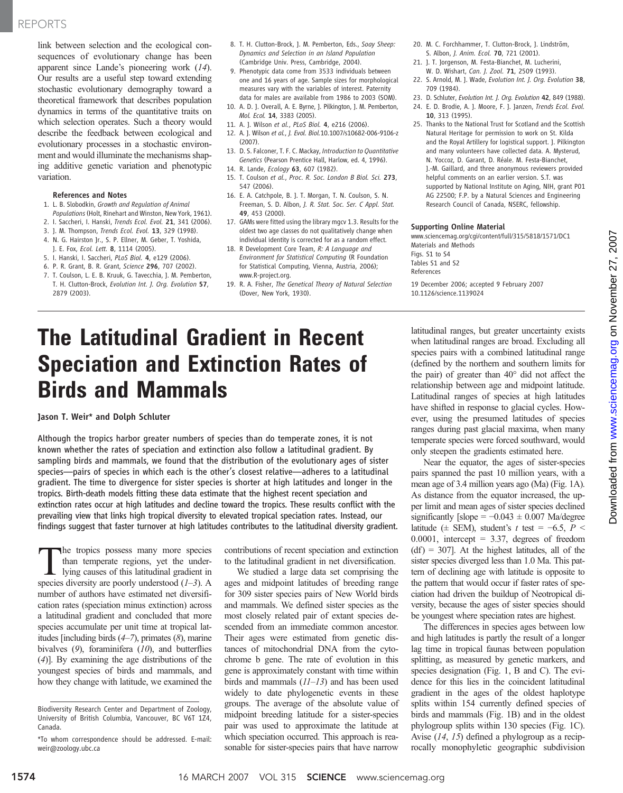## REPORTS

link between selection and the ecological consequences of evolutionary change has been apparent since Lande's pioneering work (14). Our results are a useful step toward extending stochastic evolutionary demography toward a theoretical framework that describes population dynamics in terms of the quantitative traits on which selection operates. Such a theory would describe the feedback between ecological and evolutionary processes in a stochastic environment and would illuminate the mechanisms shaping additive genetic variation and phenotypic variation.

### References and Notes

- 1. L. B. Slobodkin, Growth and Regulation of Animal Populations (Holt, Rinehart and Winston, New York, 1961).
- 2. I. Saccheri, I. Hanski, Trends Ecol. Evol. 21, 341 (2006).
- 3. J. M. Thompson, Trends Ecol. Evol. 13, 329 (1998).
- 4. N. G. Hairston Jr., S. P. Ellner, M. Geber, T. Yoshida, J. E. Fox, Ecol. Lett. 8, 1114 (2005).
- 5. I. Hanski, I. Saccheri, PLoS Biol. 4, e129 (2006).
- 6. P. R. Grant, B. R. Grant, Science 296, 707 (2002).
- 7. T. Coulson, L. E. B. Kruuk, G. Tavecchia, J. M. Pemberton,
- T. H. Clutton-Brock, Evolution Int. J. Org. Evolution 57, 2879 (2003).
- 8. T. H. Clutton-Brock, J. M. Pemberton, Eds., Soay Sheep: Dynamics and Selection in an Island Population (Cambridge Univ. Press, Cambridge, 2004).
- 9. Phenotypic data come from 3533 individuals between one and 16 years of age. Sample sizes for morphological measures vary with the variables of interest. Paternity data for males are available from 1986 to 2003 (SOM).
- 10. A. D. J. Overall, A. E. Byrne, J. Pilkington, J. M. Pemberton, Mol. Ecol. 14, 3383 (2005).
- 11. A. J. Wilson et al., PLoS Biol. 4, e216 (2006).
- 12. A. J. Wilson et al., J. Evol. Biol.10.1007/s10682-006-9106-z (2007).
- 13. D. S. Falconer, T. F. C. Mackay, Introduction to Quantitative Genetics (Pearson Prentice Hall, Harlow, ed. 4, 1996).
- 14. R. Lande, Ecology 63, 607 (1982).
- 15. T. Coulson et al., Proc. R. Soc. London B Biol. Sci. 273, 547 (2006).
- 16. E. A. Catchpole, B. J. T. Morgan, T. N. Coulson, S. N. Freeman, S. D. Albon, J. R. Stat. Soc. Ser. C Appl. Stat. 49, 453 (2000).
- 17. GAMs were fitted using the library mgcv 1.3. Results for the oldest two age classes do not qualitatively change when individual identity is corrected for as a random effect.
- 18. R Development Core Team, R: A Language and Environment for Statistical Computing (R Foundation for Statistical Computing, Vienna, Austria, 2006); www.R-project.org.
- 19. R. A. Fisher, The Genetical Theory of Natural Selection (Dover, New York, 1930).
- 20. M. C. Forchhammer, T. Clutton-Brock, J. Lindström, S. Albon, J. Anim. Ecol. 70, 721 (2001).
- 21. J. T. Jorgenson, M. Festa-Bianchet, M. Lucherini,
- W. D. Wishart, Can. J. Zool. 71, 2509 (1993). 22. S. Arnold, M. J. Wade, Evolution Int. J. Org. Evolution 38, 709 (1984).
- 23. D. Schluter, Evolution Int. J. Org. Evolution 42, 849 (1988).
- 24. E. D. Brodie, A. J. Moore, F. J. Janzen, Trends Ecol. Evol.
- 10, 313 (1995). 25. Thanks to the National Trust for Scotland and the Scottish
- Natural Heritage for permission to work on St. Kilda and the Royal Artillery for logistical support. J. Pilkington and many volunteers have collected data. A. Mysterud, N. Yoccoz, D. Garant, D. Réale. M. Festa-Bianchet, J.-M. Gaillard, and three anonymous reviewers provided helpful comments on an earlier version. S.T. was supported by National Institute on Aging, NIH, grant P01 AG 22500; F.P. by a Natural Sciences and Engineering Research Council of Canada, NSERC, fellowship.

### Supporting Online Material

www.sciencemag.org/cgi/content/full/315/5818/1571/DC1 Materials and Methods Figs. S1 to S4 Tables S1 and S2 References

19 December 2006; accepted 9 February 2007 10.1126/science.1139024

# The Latitudinal Gradient in Recent Speciation and Extinction Rates of Birds and Mammals

Jason T. Weir\* and Dolph Schluter

Although the tropics harbor greater numbers of species than do temperate zones, it is not known whether the rates of speciation and extinction also follow a latitudinal gradient. By sampling birds and mammals, we found that the distribution of the evolutionary ages of sister species—pairs of species in which each is the other's closest relative—adheres to a latitudinal gradient. The time to divergence for sister species is shorter at high latitudes and longer in the tropics. Birth-death models fitting these data estimate that the highest recent speciation and extinction rates occur at high latitudes and decline toward the tropics. These results conflict with the prevailing view that links high tropical diversity to elevated tropical speciation rates. Instead, our findings suggest that faster turnover at high latitudes contributes to the latitudinal diversity gradient.

The tropics possess many more species<br>than temperate regions, yet the under-<br>lying causes of this latitudinal gradient in<br>species diversity are poorly understood  $(1-3)$ . than temperate regions, yet the underspecies diversity are poorly understood  $(1-3)$ . A number of authors have estimated net diversification rates (speciation minus extinction) across a latitudinal gradient and concluded that more species accumulate per unit time at tropical latitudes [including birds  $(4-7)$ , primates  $(8)$ , marine bivalves  $(9)$ , foraminifera  $(10)$ , and butterflies (4)]. By examining the age distributions of the youngest species of birds and mammals, and how they change with latitude, we examined the contributions of recent speciation and extinction to the latitudinal gradient in net diversification.

We studied a large data set comprising the ages and midpoint latitudes of breeding range for 309 sister species pairs of New World birds and mammals. We defined sister species as the most closely related pair of extant species descended from an immediate common ancestor. Their ages were estimated from genetic distances of mitochondrial DNA from the cytochrome b gene. The rate of evolution in this gene is approximately constant with time within birds and mammals  $(11-13)$  and has been used widely to date phylogenetic events in these groups. The average of the absolute value of midpoint breeding latitude for a sister-species pair was used to approximate the latitude at which speciation occurred. This approach is reasonable for sister-species pairs that have narrow

latitudinal ranges, but greater uncertainty exists when latitudinal ranges are broad. Excluding all species pairs with a combined latitudinal range (defined by the northern and southern limits for the pair) of greater than 40° did not affect the relationship between age and midpoint latitude. Latitudinal ranges of species at high latitudes have shifted in response to glacial cycles. However, using the presumed latitudes of species ranges during past glacial maxima, when many temperate species were forced southward, would only steepen the gradients estimated here.

Near the equator, the ages of sister-species pairs spanned the past 10 million years, with a mean age of 3.4 million years ago (Ma) (Fig. 1A). As distance from the equator increased, the upper limit and mean ages of sister species declined significantly [slope =  $-0.043 \pm 0.007$  Ma/degree latitude ( $\pm$  SEM), student's t test = -6.5, P <  $0.0001$ , intercept = 3.37, degrees of freedom  $(df) = 307$ . At the highest latitudes, all of the sister species diverged less than 1.0 Ma. This pattern of declining age with latitude is opposite to the pattern that would occur if faster rates of speciation had driven the buildup of Neotropical diversity, because the ages of sister species should be youngest where speciation rates are highest.

The differences in species ages between low and high latitudes is partly the result of a longer lag time in tropical faunas between population splitting, as measured by genetic markers, and species designation (Fig. 1, B and C). The evidence for this lies in the coincident latitudinal gradient in the ages of the oldest haplotype splits within 154 currently defined species of birds and mammals (Fig. 1B) and in the oldest phylogroup splits within 130 species (Fig. 1C). Avise (14, 15) defined a phylogroup as a reciprocally monophyletic geographic subdivision

Biodiversity Research Center and Department of Zoology, University of British Columbia, Vancouver, BC V6T 1Z4, Canada.

<sup>\*</sup>To whom correspondence should be addressed. E-mail: weir@zoology.ubc.ca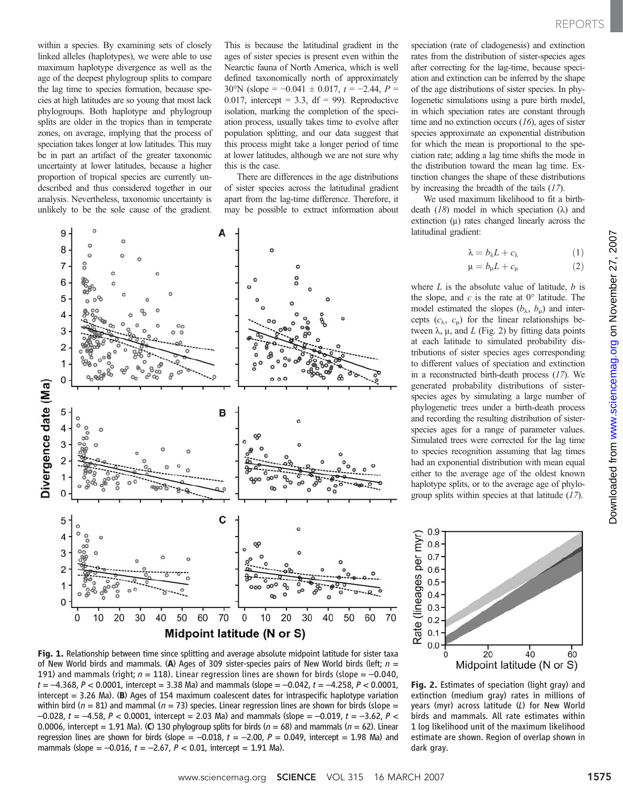within a species. By examining sets of closely linked alleles (haplotypes), we were able to use maximum haplotype divergence as well as the age of the deepest phylogroup splits to compare the lag time to species formation, because species at high latitudes are so young that most lack phylogroups. Both haplotype and phylogroup splits are older in the tropics than in temperate zones, on average, implying that the process of speciation takes longer at low latitudes. This may be in part an artifact of the greater taxonomic uncertainty at lower latitudes, because a higher proportion of tropical species are currently undescribed and thus considered together in our analysis. Nevertheless, taxonomic uncertainty is unlikely to be the sole cause of the gradient.

This is because the latitudinal gradient in the ages of sister species is present even within the Nearctic fauna of North America, which is well defined taxonomically north of approximately 30°N (slope =  $-0.041 \pm 0.017$ ,  $t = -2.44$ ,  $P =$ 0.017, intercept = 3.3,  $df = 99$ ). Reproductive isolation, marking the completion of the speciation process, usually takes time to evolve after population splitting, and our data suggest that this process might take a longer period of time at lower latitudes, although we are not sure why this is the case.

There are differences in the age distributions of sister species across the latitudinal gradient apart from the lag-time difference. Therefore, it may be possible to extract information about



Fig. 1. Relationship between time since splitting and average absolute midpoint latitude for sister taxa of New World birds and mammals. (A) Ages of 309 sister-species pairs of New World birds (left;  $n =$ 191) and mammals (right;  $n = 118$ ). Linear regression lines are shown for birds (slope = -0.040,  $t = -4.368$ ,  $P < 0.0001$ , intercept = 3.38 Ma) and mammals (slope =  $-0.042$ ,  $t = -4.258$ ,  $P < 0.0001$ , intercept  $=$  3.26 Ma). (B) Ages of 154 maximum coalescent dates for intraspecific haplotype variation within bird ( $n = 81$ ) and mammal ( $n = 73$ ) species. Linear regression lines are shown for birds (slope =  $-0.028$ ,  $t = -4.58$ ,  $P < 0.0001$ , intercept = 2.03 Ma) and mammals (slope =  $-0.019$ ,  $t = -3.62$ ,  $P <$ 0.0006, intercept = 1.91 Ma). (C) 130 phylogroup splits for birds ( $n = 68$ ) and mammals ( $n = 62$ ). Linear regression lines are shown for birds (slope =  $-0.018$ ,  $t = -2.00$ ,  $P = 0.049$ , intercept = 1.98 Ma) and mammals (slope =  $-0.016$ ,  $t = -2.67$ ,  $P < 0.01$ , intercept = 1.91 Ma).

speciation (rate of cladogenesis) and extinction rates from the distribution of sister-species ages after correcting for the lag-time, because speciation and extinction can be inferred by the shape of the age distributions of sister species. In phylogenetic simulations using a pure birth model, in which speciation rates are constant through time and no extinction occurs  $(16)$ , ages of sister species approximate an exponential distribution for which the mean is proportional to the speciation rate; adding a lag time shifts the mode in the distribution toward the mean lag time. Extinction changes the shape of these distributions by increasing the breadth of the tails (17).

We used maximum likelihood to fit a birthdeath (18) model in which speciation ( $\lambda$ ) and extinction  $(\mu)$  rates changed linearly across the latitudinal gradient:

$$
\lambda = b_{\lambda}L + c_{\lambda} \tag{1}
$$

$$
\mu = b_{\mu}L + c_{\mu} \tag{2}
$$

where  $L$  is the absolute value of latitude,  $b$  is the slope, and  $c$  is the rate at  $0^{\circ}$  latitude. The model estimated the slopes  $(b_{\lambda}, b_{\mu})$  and intercepts  $(c_{\lambda}, c_{\mu})$  for the linear relationships between  $\lambda$ ,  $\mu$ , and L (Fig. 2) by fitting data points at each latitude to simulated probability distributions of sister species ages corresponding to different values of speciation and extinction in a reconstructed birth-death process (17). We generated probability distributions of sisterspecies ages by simulating a large number of phylogenetic trees under a birth-death process and recording the resulting distribution of sisterspecies ages for a range of parameter values. Simulated trees were corrected for the lag time to species recognition assuming that lag times had an exponential distribution with mean equal either to the average age of the oldest known haplotype splits, or to the average age of phylogroup splits within species at that latitude (17).